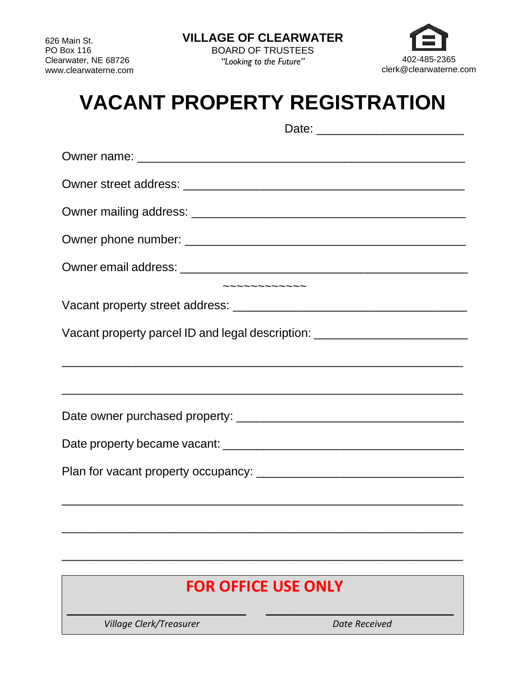*"Looking to the Future"*



## **VACANT PROPERTY REGISTRATION**

| Vacant property parcel ID and legal description: _______________________________                                          |
|---------------------------------------------------------------------------------------------------------------------------|
|                                                                                                                           |
| <u> 1999 - Johann John Stone, mars et al. 1999 - John Stone, mars et al. 1999 - John Stone, mars et al. 1999 - John S</u> |
|                                                                                                                           |
|                                                                                                                           |
| ,我们也不会有什么。""我们的人,我们也不会有什么?""我们的人,我们也不会有什么?""我们的人,我们也不会有什么?""我们的人,我们也不会有什么?""我们的人                                          |

## **FOR OFFICE USE ONLY**

\_\_\_\_\_\_\_\_\_\_\_\_\_\_\_\_\_\_\_\_\_ \_\_\_\_\_\_\_\_\_\_\_\_\_\_\_\_\_\_\_\_\_\_

\_\_\_\_\_\_\_\_\_\_\_\_\_\_\_\_\_\_\_\_\_\_\_\_\_\_\_\_\_\_\_\_\_\_\_\_\_\_\_\_\_\_\_\_\_\_\_\_\_\_\_\_\_\_\_\_\_\_\_\_

\_\_\_\_\_\_\_\_\_\_\_\_\_\_\_\_\_\_\_\_\_\_\_\_\_\_\_\_\_\_\_\_\_\_\_\_\_\_\_\_\_\_\_\_\_\_\_\_\_\_\_\_\_\_\_\_\_\_\_\_

**Village Clerk/Treasurer data controlled and Date Received**